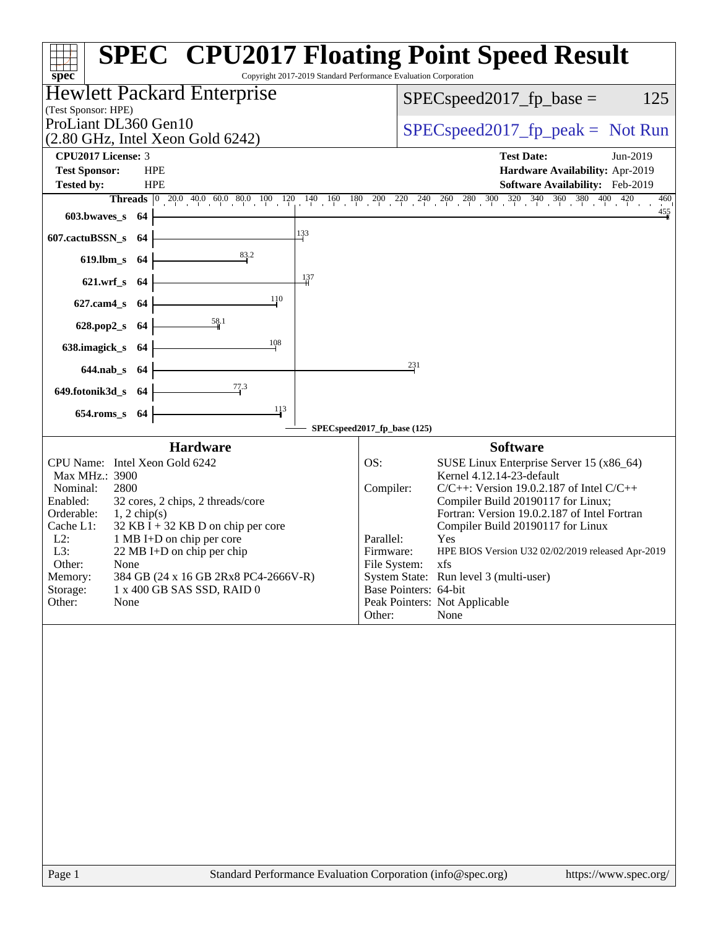| <b>SPEC<sup>®</sup> CPU2017 Floating Point Speed Result</b><br>Copyright 2017-2019 Standard Performance Evaluation Corporation<br>spec <sup>®</sup>                                                                                                                                                                                                                                                                                               |                                                                                                                                                                                                                                                                                                                                                                                                                                                                                                                      |  |  |  |  |
|---------------------------------------------------------------------------------------------------------------------------------------------------------------------------------------------------------------------------------------------------------------------------------------------------------------------------------------------------------------------------------------------------------------------------------------------------|----------------------------------------------------------------------------------------------------------------------------------------------------------------------------------------------------------------------------------------------------------------------------------------------------------------------------------------------------------------------------------------------------------------------------------------------------------------------------------------------------------------------|--|--|--|--|
| <b>Hewlett Packard Enterprise</b>                                                                                                                                                                                                                                                                                                                                                                                                                 | 125<br>$SPEC speed2017$ fp base =                                                                                                                                                                                                                                                                                                                                                                                                                                                                                    |  |  |  |  |
| (Test Sponsor: HPE)                                                                                                                                                                                                                                                                                                                                                                                                                               |                                                                                                                                                                                                                                                                                                                                                                                                                                                                                                                      |  |  |  |  |
| ProLiant DL360 Gen10<br>$(2.80 \text{ GHz}, \text{Intel Xeon Gold } 6242)$                                                                                                                                                                                                                                                                                                                                                                        | $SPEC speed2017fr peak = Not Run$                                                                                                                                                                                                                                                                                                                                                                                                                                                                                    |  |  |  |  |
| CPU <sub>2017</sub> License: 3                                                                                                                                                                                                                                                                                                                                                                                                                    | <b>Test Date:</b><br>Jun-2019                                                                                                                                                                                                                                                                                                                                                                                                                                                                                        |  |  |  |  |
| <b>Test Sponsor:</b><br><b>HPE</b>                                                                                                                                                                                                                                                                                                                                                                                                                | Hardware Availability: Apr-2019                                                                                                                                                                                                                                                                                                                                                                                                                                                                                      |  |  |  |  |
| <b>Tested by:</b><br><b>HPE</b><br><b>Threads</b> 0 20.0 40.0 60.0 80.0 100 120 140 160 180 200 220 240 260 280 300 320 340 360 380 400 420                                                                                                                                                                                                                                                                                                       | Software Availability: Feb-2019<br>460                                                                                                                                                                                                                                                                                                                                                                                                                                                                               |  |  |  |  |
| 603.bwayes s<br>-64                                                                                                                                                                                                                                                                                                                                                                                                                               | $\frac{455}{4}$                                                                                                                                                                                                                                                                                                                                                                                                                                                                                                      |  |  |  |  |
| 133<br>607.cactuBSSN_s<br>-64                                                                                                                                                                                                                                                                                                                                                                                                                     |                                                                                                                                                                                                                                                                                                                                                                                                                                                                                                                      |  |  |  |  |
| 83.2<br>$619$ .lbm_s<br>-64                                                                                                                                                                                                                                                                                                                                                                                                                       |                                                                                                                                                                                                                                                                                                                                                                                                                                                                                                                      |  |  |  |  |
| 137<br>621.wrf s 64                                                                                                                                                                                                                                                                                                                                                                                                                               |                                                                                                                                                                                                                                                                                                                                                                                                                                                                                                                      |  |  |  |  |
| 110<br>$627$ .cam $4$ <sub>S</sub><br>-64                                                                                                                                                                                                                                                                                                                                                                                                         |                                                                                                                                                                                                                                                                                                                                                                                                                                                                                                                      |  |  |  |  |
| 58.1<br>628.pop2_s<br>-64                                                                                                                                                                                                                                                                                                                                                                                                                         |                                                                                                                                                                                                                                                                                                                                                                                                                                                                                                                      |  |  |  |  |
| 108<br>638.imagick_s<br>-64                                                                                                                                                                                                                                                                                                                                                                                                                       |                                                                                                                                                                                                                                                                                                                                                                                                                                                                                                                      |  |  |  |  |
| 644.nab_s 64                                                                                                                                                                                                                                                                                                                                                                                                                                      | 231                                                                                                                                                                                                                                                                                                                                                                                                                                                                                                                  |  |  |  |  |
| 77.3<br>649.fotonik3d_s 64                                                                                                                                                                                                                                                                                                                                                                                                                        |                                                                                                                                                                                                                                                                                                                                                                                                                                                                                                                      |  |  |  |  |
| $\frac{113}{ }$<br>$654$ .roms_s<br>-64                                                                                                                                                                                                                                                                                                                                                                                                           |                                                                                                                                                                                                                                                                                                                                                                                                                                                                                                                      |  |  |  |  |
| SPECspeed2017_fp_base (125)                                                                                                                                                                                                                                                                                                                                                                                                                       |                                                                                                                                                                                                                                                                                                                                                                                                                                                                                                                      |  |  |  |  |
| <b>Hardware</b><br>CPU Name: Intel Xeon Gold 6242<br>OS:<br>Max MHz.: 3900<br>2800<br>Nominal:<br>Enabled:<br>32 cores, 2 chips, 2 threads/core<br>Orderable:<br>$1, 2$ chip(s)<br>Cache L1:<br>$32$ KB I + 32 KB D on chip per core<br>1 MB I+D on chip per core<br>$L2$ :<br>L3:<br>22 MB I+D on chip per chip<br>Other:<br>None<br>Memory:<br>384 GB (24 x 16 GB 2Rx8 PC4-2666V-R)<br>Storage:<br>1 x 400 GB SAS SSD, RAID 0<br>Other:<br>None | <b>Software</b><br>SUSE Linux Enterprise Server 15 (x86_64)<br>Kernel 4.12.14-23-default<br>Compiler:<br>$C/C++$ : Version 19.0.2.187 of Intel $C/C++$<br>Compiler Build 20190117 for Linux;<br>Fortran: Version 19.0.2.187 of Intel Fortran<br>Compiler Build 20190117 for Linux<br>Parallel:<br>Yes<br>HPE BIOS Version U32 02/02/2019 released Apr-2019<br>Firmware:<br>File System:<br>xfs<br>System State: Run level 3 (multi-user)<br>Base Pointers: 64-bit<br>Peak Pointers: Not Applicable<br>Other:<br>None |  |  |  |  |
| Standard Performance Evaluation Corporation (info@spec.org)<br>Page 1                                                                                                                                                                                                                                                                                                                                                                             | https://www.spec.org/                                                                                                                                                                                                                                                                                                                                                                                                                                                                                                |  |  |  |  |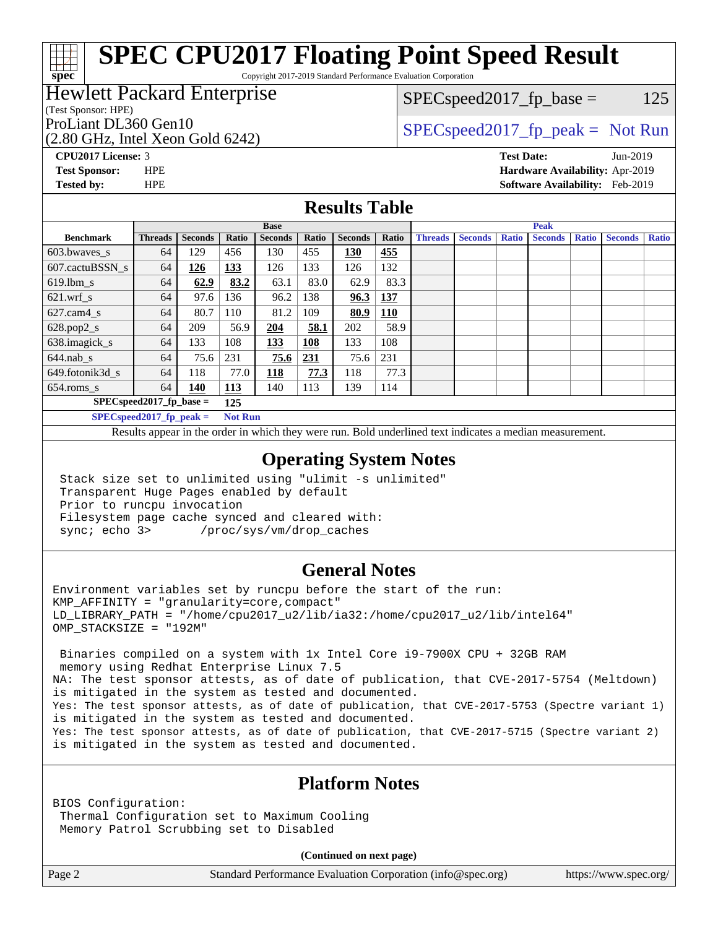# **[SPEC CPU2017 Floating Point Speed Result](http://www.spec.org/auto/cpu2017/Docs/result-fields.html#SPECCPU2017FloatingPointSpeedResult)**

Copyright 2017-2019 Standard Performance Evaluation Corporation

## Hewlett Packard Enterprise

#### (Test Sponsor: HPE)

**[spec](http://www.spec.org/)**

(2.80 GHz, Intel Xeon Gold 6242)

 $SPEC speed2017_fp\_base = 125$ 

## ProLiant DL360 Gen10  $SPEC speed2017$  fp\_peak = Not Run

**[CPU2017 License:](http://www.spec.org/auto/cpu2017/Docs/result-fields.html#CPU2017License)** 3 **[Test Date:](http://www.spec.org/auto/cpu2017/Docs/result-fields.html#TestDate)** Jun-2019 **[Test Sponsor:](http://www.spec.org/auto/cpu2017/Docs/result-fields.html#TestSponsor)** HPE **[Hardware Availability:](http://www.spec.org/auto/cpu2017/Docs/result-fields.html#HardwareAvailability)** Apr-2019 **[Tested by:](http://www.spec.org/auto/cpu2017/Docs/result-fields.html#Testedby)** HPE **[Software Availability:](http://www.spec.org/auto/cpu2017/Docs/result-fields.html#SoftwareAvailability)** Feb-2019

#### **[Results Table](http://www.spec.org/auto/cpu2017/Docs/result-fields.html#ResultsTable)**

|                                    | <b>Base</b>                |                |                |                |       | <b>Peak</b>    |            |                |                |              |                |              |                |              |
|------------------------------------|----------------------------|----------------|----------------|----------------|-------|----------------|------------|----------------|----------------|--------------|----------------|--------------|----------------|--------------|
| <b>Benchmark</b>                   | <b>Threads</b>             | <b>Seconds</b> | Ratio          | <b>Seconds</b> | Ratio | <b>Seconds</b> | Ratio      | <b>Threads</b> | <b>Seconds</b> | <b>Ratio</b> | <b>Seconds</b> | <b>Ratio</b> | <b>Seconds</b> | <b>Ratio</b> |
| 603.bwayes s                       | 64                         | 129            | 456            | 130            | 455   | 130            | 455        |                |                |              |                |              |                |              |
| 607.cactuBSSN s                    | 64                         | 126            | 133            | 126            | 133   | 126            | 132        |                |                |              |                |              |                |              |
| $619.$ lbm s                       | 64                         | 62.9           | 83.2           | 63.1           | 83.0  | 62.9           | 83.3       |                |                |              |                |              |                |              |
| $621.wrf$ s                        | 64                         | 97.6           | 136            | 96.2           | 138   | 96.3           | <u>137</u> |                |                |              |                |              |                |              |
| $627.cam4_s$                       | 64                         | 80.7           | 110            | 81.2           | 109   | 80.9           | <u>110</u> |                |                |              |                |              |                |              |
| $628.pop2_s$                       | 64                         | 209            | 56.9           | 204            | 58.1  | 202            | 58.9       |                |                |              |                |              |                |              |
| 638.imagick_s                      | 64                         | 133            | 108            | 133            | 108   | 133            | 108        |                |                |              |                |              |                |              |
| $644$ .nab s                       | 64                         | 75.6           | 231            | 75.6           | 231   | 75.6           | 231        |                |                |              |                |              |                |              |
| 649.fotonik3d s                    | 64                         | 118            | 77.0           | <u> 118</u>    | 77.3  | 118            | 77.3       |                |                |              |                |              |                |              |
| $654$ .roms s                      | 64                         | 140            | <b>113</b>     | 140            | 113   | 139            | 114        |                |                |              |                |              |                |              |
| $SPEC speed2017_fp\_base =$<br>125 |                            |                |                |                |       |                |            |                |                |              |                |              |                |              |
|                                    | $SPECspeed2017_fp\_peak =$ |                | <b>Not Run</b> |                |       |                |            |                |                |              |                |              |                |              |

Results appear in the [order in which they were run.](http://www.spec.org/auto/cpu2017/Docs/result-fields.html#RunOrder) Bold underlined text [indicates a median measurement](http://www.spec.org/auto/cpu2017/Docs/result-fields.html#Median).

#### **[Operating System Notes](http://www.spec.org/auto/cpu2017/Docs/result-fields.html#OperatingSystemNotes)**

 Stack size set to unlimited using "ulimit -s unlimited" Transparent Huge Pages enabled by default Prior to runcpu invocation Filesystem page cache synced and cleared with: sync; echo 3> /proc/sys/vm/drop\_caches

#### **[General Notes](http://www.spec.org/auto/cpu2017/Docs/result-fields.html#GeneralNotes)**

Environment variables set by runcpu before the start of the run: KMP\_AFFINITY = "granularity=core,compact" LD\_LIBRARY\_PATH = "/home/cpu2017\_u2/lib/ia32:/home/cpu2017\_u2/lib/intel64" OMP\_STACKSIZE = "192M"

 Binaries compiled on a system with 1x Intel Core i9-7900X CPU + 32GB RAM memory using Redhat Enterprise Linux 7.5 NA: The test sponsor attests, as of date of publication, that CVE-2017-5754 (Meltdown) is mitigated in the system as tested and documented. Yes: The test sponsor attests, as of date of publication, that CVE-2017-5753 (Spectre variant 1) is mitigated in the system as tested and documented. Yes: The test sponsor attests, as of date of publication, that CVE-2017-5715 (Spectre variant 2) is mitigated in the system as tested and documented.

### **[Platform Notes](http://www.spec.org/auto/cpu2017/Docs/result-fields.html#PlatformNotes)**

BIOS Configuration: Thermal Configuration set to Maximum Cooling Memory Patrol Scrubbing set to Disabled

**(Continued on next page)**

Page 2 Standard Performance Evaluation Corporation [\(info@spec.org\)](mailto:info@spec.org) <https://www.spec.org/>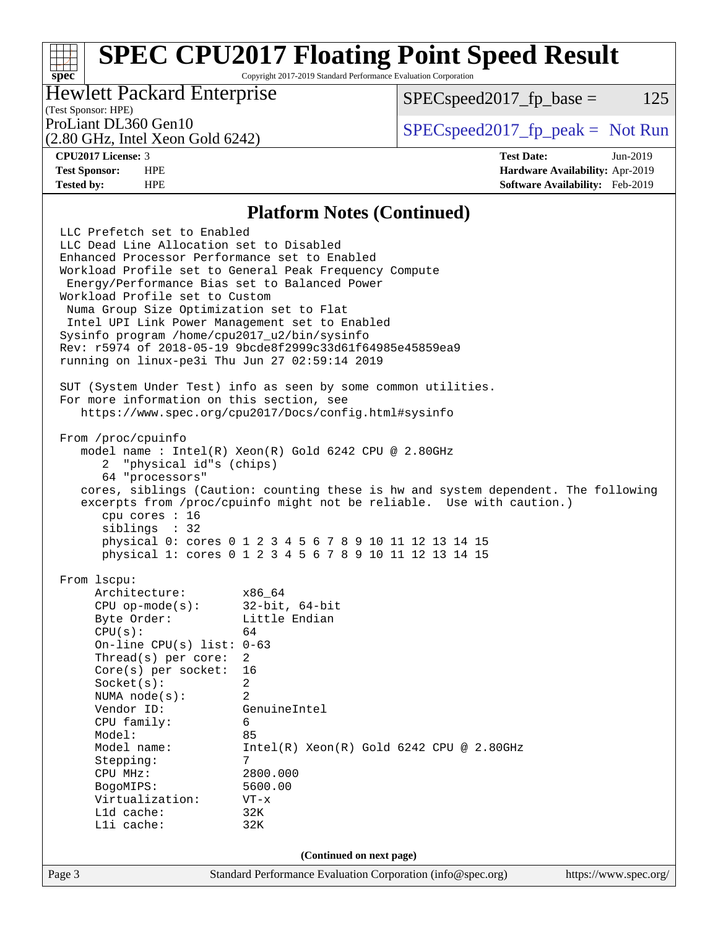# **[SPEC CPU2017 Floating Point Speed Result](http://www.spec.org/auto/cpu2017/Docs/result-fields.html#SPECCPU2017FloatingPointSpeedResult)**

Copyright 2017-2019 Standard Performance Evaluation Corporation

## Hewlett Packard Enterprise

 $SPEC speed2017_fp\_base = 125$ 

## (Test Sponsor: HPE)

(2.80 GHz, Intel Xeon Gold 6242)

ProLiant DL360 Gen10  $SPEC speed2017$  [p\_peak = Not Run

**[spec](http://www.spec.org/)**

**[CPU2017 License:](http://www.spec.org/auto/cpu2017/Docs/result-fields.html#CPU2017License)** 3 **[Test Date:](http://www.spec.org/auto/cpu2017/Docs/result-fields.html#TestDate)** Jun-2019 **[Test Sponsor:](http://www.spec.org/auto/cpu2017/Docs/result-fields.html#TestSponsor)** HPE **[Hardware Availability:](http://www.spec.org/auto/cpu2017/Docs/result-fields.html#HardwareAvailability)** Apr-2019 **[Tested by:](http://www.spec.org/auto/cpu2017/Docs/result-fields.html#Testedby)** HPE **[Software Availability:](http://www.spec.org/auto/cpu2017/Docs/result-fields.html#SoftwareAvailability)** Feb-2019

#### **[Platform Notes \(Continued\)](http://www.spec.org/auto/cpu2017/Docs/result-fields.html#PlatformNotes)**

Page 3 Standard Performance Evaluation Corporation [\(info@spec.org\)](mailto:info@spec.org) <https://www.spec.org/> LLC Prefetch set to Enabled LLC Dead Line Allocation set to Disabled Enhanced Processor Performance set to Enabled Workload Profile set to General Peak Frequency Compute Energy/Performance Bias set to Balanced Power Workload Profile set to Custom Numa Group Size Optimization set to Flat Intel UPI Link Power Management set to Enabled Sysinfo program /home/cpu2017\_u2/bin/sysinfo Rev: r5974 of 2018-05-19 9bcde8f2999c33d61f64985e45859ea9 running on linux-pe3i Thu Jun 27 02:59:14 2019 SUT (System Under Test) info as seen by some common utilities. For more information on this section, see <https://www.spec.org/cpu2017/Docs/config.html#sysinfo> From /proc/cpuinfo model name : Intel(R) Xeon(R) Gold 6242 CPU @ 2.80GHz 2 "physical id"s (chips) 64 "processors" cores, siblings (Caution: counting these is hw and system dependent. The following excerpts from /proc/cpuinfo might not be reliable. Use with caution.) cpu cores : 16 siblings : 32 physical 0: cores 0 1 2 3 4 5 6 7 8 9 10 11 12 13 14 15 physical 1: cores 0 1 2 3 4 5 6 7 8 9 10 11 12 13 14 15 From lscpu: Architecture: x86\_64 CPU op-mode(s): 32-bit, 64-bit Byte Order: Little Endian  $CPU(s):$  64 On-line CPU(s) list: 0-63 Thread(s) per core: 2 Core(s) per socket: 16 Socket(s): 2 NUMA node(s): 2 Vendor ID: GenuineIntel CPU family: 6 Model: 85 Model name: Intel(R) Xeon(R) Gold 6242 CPU @ 2.80GHz Stepping: CPU MHz: 2800.000 BogoMIPS: 5600.00 Virtualization: VT-x L1d cache: 32K L1i cache: 32K **(Continued on next page)**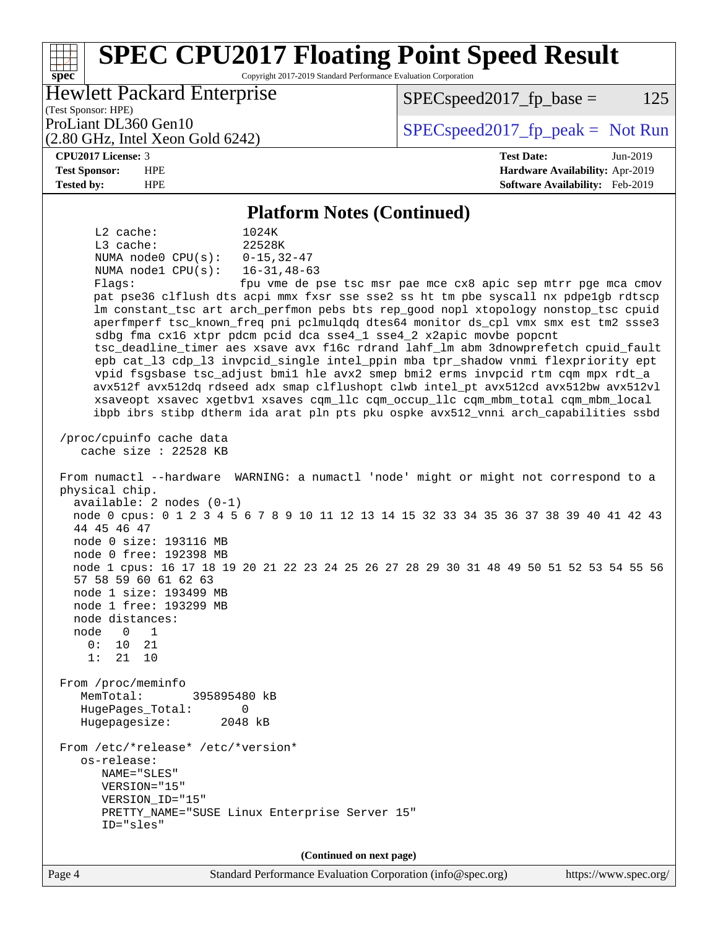#### **[spec](http://www.spec.org/) [SPEC CPU2017 Floating Point Speed Result](http://www.spec.org/auto/cpu2017/Docs/result-fields.html#SPECCPU2017FloatingPointSpeedResult)** Copyright 2017-2019 Standard Performance Evaluation Corporation (Test Sponsor: HPE) Hewlett Packard Enterprise (2.80 GHz, Intel Xeon Gold 6242) ProLiant DL360 Gen10  $SPEC speed2017$  [p\_peak = Not Run  $SPEC speed2017_fp\_base = 125$ **[CPU2017 License:](http://www.spec.org/auto/cpu2017/Docs/result-fields.html#CPU2017License)** 3 **[Test Date:](http://www.spec.org/auto/cpu2017/Docs/result-fields.html#TestDate)** Jun-2019 **[Test Sponsor:](http://www.spec.org/auto/cpu2017/Docs/result-fields.html#TestSponsor)** HPE **[Hardware Availability:](http://www.spec.org/auto/cpu2017/Docs/result-fields.html#HardwareAvailability)** Apr-2019 **[Tested by:](http://www.spec.org/auto/cpu2017/Docs/result-fields.html#Testedby)** HPE **[Software Availability:](http://www.spec.org/auto/cpu2017/Docs/result-fields.html#SoftwareAvailability)** Feb-2019 **[Platform Notes \(Continued\)](http://www.spec.org/auto/cpu2017/Docs/result-fields.html#PlatformNotes)** L2 cache: 1024K L3 cache: 22528K NUMA node0 CPU(s): 0-15,32-47 NUMA node1 CPU(s): 16-31,48-63 Flags: fpu vme de pse tsc msr pae mce cx8 apic sep mtrr pge mca cmov pat pse36 clflush dts acpi mmx fxsr sse sse2 ss ht tm pbe syscall nx pdpe1gb rdtscp lm constant\_tsc art arch\_perfmon pebs bts rep\_good nopl xtopology nonstop\_tsc cpuid aperfmperf tsc\_known\_freq pni pclmulqdq dtes64 monitor ds\_cpl vmx smx est tm2 ssse3 sdbg fma cx16 xtpr pdcm pcid dca sse4\_1 sse4\_2 x2apic movbe popcnt tsc\_deadline\_timer aes xsave avx f16c rdrand lahf\_lm abm 3dnowprefetch cpuid\_fault epb cat\_l3 cdp\_l3 invpcid\_single intel\_ppin mba tpr\_shadow vnmi flexpriority ept vpid fsgsbase tsc\_adjust bmi1 hle avx2 smep bmi2 erms invpcid rtm cqm mpx rdt\_a avx512f avx512dq rdseed adx smap clflushopt clwb intel\_pt avx512cd avx512bw avx512vl xsaveopt xsavec xgetbv1 xsaves cqm\_llc cqm\_occup\_llc cqm\_mbm\_total cqm\_mbm\_local ibpb ibrs stibp dtherm ida arat pln pts pku ospke avx512\_vnni arch\_capabilities ssbd /proc/cpuinfo cache data cache size : 22528 KB From numactl --hardware WARNING: a numactl 'node' might or might not correspond to a physical chip. available: 2 nodes (0-1) node 0 cpus: 0 1 2 3 4 5 6 7 8 9 10 11 12 13 14 15 32 33 34 35 36 37 38 39 40 41 42 43 44 45 46 47 node 0 size: 193116 MB node 0 free: 192398 MB node 1 cpus: 16 17 18 19 20 21 22 23 24 25 26 27 28 29 30 31 48 49 50 51 52 53 54 55 56 57 58 59 60 61 62 63 node 1 size: 193499 MB node 1 free: 193299 MB node distances: node 0 1 0: 10 21 1: 21 10 From /proc/meminfo MemTotal: 395895480 kB HugePages\_Total: 0 Hugepagesize: 2048 kB From /etc/\*release\* /etc/\*version\* os-release: NAME="SLES" VERSION="15" VERSION\_ID="15" PRETTY\_NAME="SUSE Linux Enterprise Server 15" ID="sles" **(Continued on next page)**

Page 4 Standard Performance Evaluation Corporation [\(info@spec.org\)](mailto:info@spec.org) <https://www.spec.org/>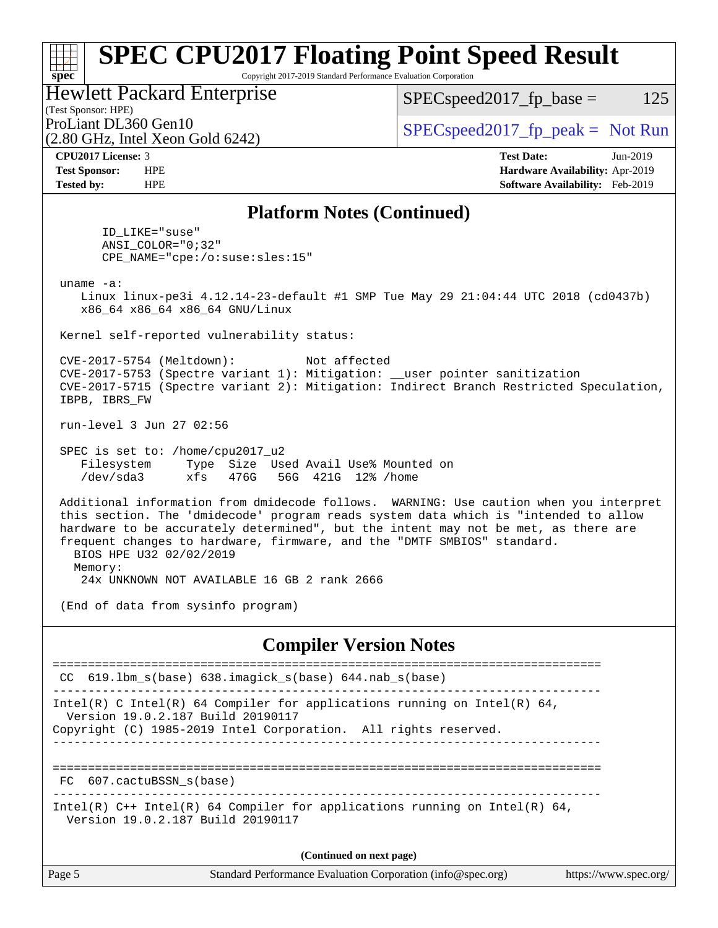#### **[spec](http://www.spec.org/) [SPEC CPU2017 Floating Point Speed Result](http://www.spec.org/auto/cpu2017/Docs/result-fields.html#SPECCPU2017FloatingPointSpeedResult)** Copyright 2017-2019 Standard Performance Evaluation Corporation (Test Sponsor: HPE) Hewlett Packard Enterprise (2.80 GHz, Intel Xeon Gold 6242) ProLiant DL360 Gen10  $SPEC speed2017$  fp\_peak = Not Run  $SPEC speed2017_fp\_base = 125$ **[CPU2017 License:](http://www.spec.org/auto/cpu2017/Docs/result-fields.html#CPU2017License)** 3 **[Test Date:](http://www.spec.org/auto/cpu2017/Docs/result-fields.html#TestDate)** Jun-2019 **[Test Sponsor:](http://www.spec.org/auto/cpu2017/Docs/result-fields.html#TestSponsor)** HPE **[Hardware Availability:](http://www.spec.org/auto/cpu2017/Docs/result-fields.html#HardwareAvailability)** Apr-2019 **[Tested by:](http://www.spec.org/auto/cpu2017/Docs/result-fields.html#Testedby)** HPE **[Software Availability:](http://www.spec.org/auto/cpu2017/Docs/result-fields.html#SoftwareAvailability)** Feb-2019 **[Platform Notes \(Continued\)](http://www.spec.org/auto/cpu2017/Docs/result-fields.html#PlatformNotes)** ID\_LIKE="suse" ANSI\_COLOR="0;32" CPE\_NAME="cpe:/o:suse:sles:15" uname -a: Linux linux-pe3i 4.12.14-23-default #1 SMP Tue May 29 21:04:44 UTC 2018 (cd0437b) x86\_64 x86\_64 x86\_64 GNU/Linux Kernel self-reported vulnerability status: CVE-2017-5754 (Meltdown): Not affected CVE-2017-5753 (Spectre variant 1): Mitigation: \_\_user pointer sanitization CVE-2017-5715 (Spectre variant 2): Mitigation: Indirect Branch Restricted Speculation, IBPB, IBRS\_FW run-level 3 Jun 27 02:56 SPEC is set to: /home/cpu2017\_u2 Filesystem Type Size Used Avail Use% Mounted on /dev/sda3 xfs 476G 56G 421G 12% /home Additional information from dmidecode follows. WARNING: Use caution when you interpret this section. The 'dmidecode' program reads system data which is "intended to allow hardware to be accurately determined", but the intent may not be met, as there are frequent changes to hardware, firmware, and the "DMTF SMBIOS" standard. BIOS HPE U32 02/02/2019 Memory: 24x UNKNOWN NOT AVAILABLE 16 GB 2 rank 2666 (End of data from sysinfo program) **[Compiler Version Notes](http://www.spec.org/auto/cpu2017/Docs/result-fields.html#CompilerVersionNotes)** ============================================================================== CC 619.lbm\_s(base) 638.imagick\_s(base) 644.nab\_s(base) ------------------------------------------------------------------------------ Intel(R) C Intel(R) 64 Compiler for applications running on Intel(R) 64, Version 19.0.2.187 Build 20190117 Copyright (C) 1985-2019 Intel Corporation. All rights reserved. ------------------------------------------------------------------------------ ============================================================================== FC 607.cactuBSSN s(base) ------------------------------------------------------------------------------ Intel(R)  $C++$  Intel(R) 64 Compiler for applications running on Intel(R) 64, Version 19.0.2.187 Build 20190117

Page 5 Standard Performance Evaluation Corporation [\(info@spec.org\)](mailto:info@spec.org) <https://www.spec.org/> **(Continued on next page)**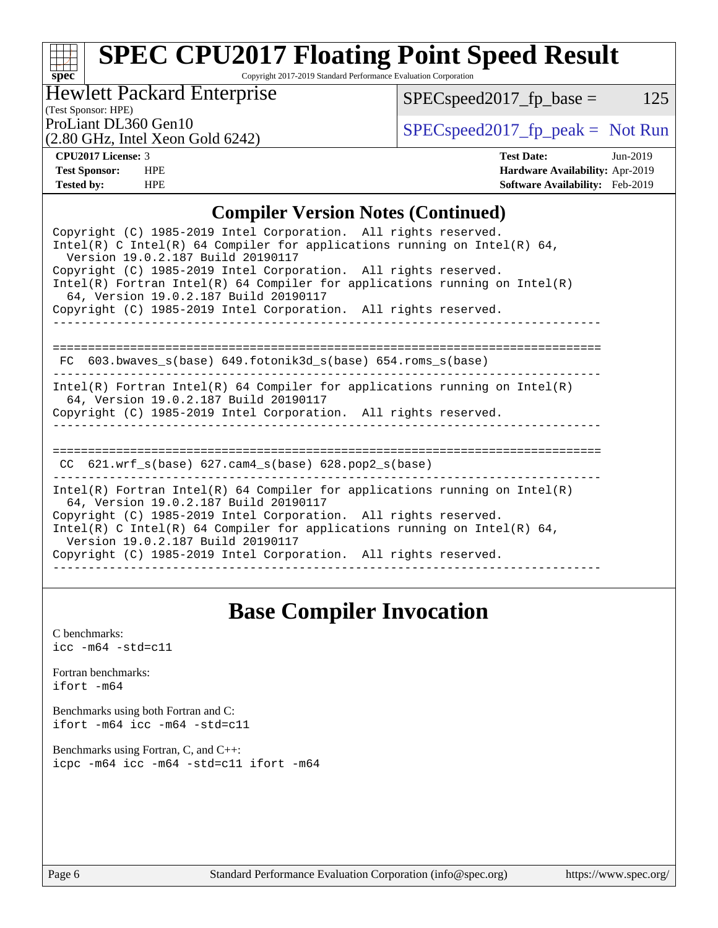## **[spec](http://www.spec.org/) [SPEC CPU2017 Floating Point Speed Result](http://www.spec.org/auto/cpu2017/Docs/result-fields.html#SPECCPU2017FloatingPointSpeedResult)**

Copyright 2017-2019 Standard Performance Evaluation Corporation

Hewlett Packard Enterprise

 $SPEC speed2017_fp\_base = 125$ 

(Test Sponsor: HPE)

(2.80 GHz, Intel Xeon Gold 6242)

ProLiant DL360 Gen10<br>  $SPEC speed2017$  [p\_peak = Not Run

**[CPU2017 License:](http://www.spec.org/auto/cpu2017/Docs/result-fields.html#CPU2017License)** 3 **[Test Date:](http://www.spec.org/auto/cpu2017/Docs/result-fields.html#TestDate)** Jun-2019 **[Test Sponsor:](http://www.spec.org/auto/cpu2017/Docs/result-fields.html#TestSponsor)** HPE **[Hardware Availability:](http://www.spec.org/auto/cpu2017/Docs/result-fields.html#HardwareAvailability)** Apr-2019 **[Tested by:](http://www.spec.org/auto/cpu2017/Docs/result-fields.html#Testedby)** HPE **[Software Availability:](http://www.spec.org/auto/cpu2017/Docs/result-fields.html#SoftwareAvailability)** Feb-2019

#### **[Compiler Version Notes \(Continued\)](http://www.spec.org/auto/cpu2017/Docs/result-fields.html#CompilerVersionNotes)**

| Copyright (C) 1985-2019 Intel Corporation. All rights reserved.<br>Intel(R) C Intel(R) 64 Compiler for applications running on Intel(R) 64,<br>Version 19.0.2.187 Build 20190117                                                                                                                                                                                             |  |  |  |  |
|------------------------------------------------------------------------------------------------------------------------------------------------------------------------------------------------------------------------------------------------------------------------------------------------------------------------------------------------------------------------------|--|--|--|--|
| Copyright (C) 1985-2019 Intel Corporation. All rights reserved.<br>Intel(R) Fortran Intel(R) 64 Compiler for applications running on Intel(R)<br>64, Version 19.0.2.187 Build 20190117                                                                                                                                                                                       |  |  |  |  |
| Copyright (C) 1985-2019 Intel Corporation. All rights reserved.                                                                                                                                                                                                                                                                                                              |  |  |  |  |
| $FC 603.bwaves_s(base) 649.fotonik3d_s(base) 654.roms_s(base)$                                                                                                                                                                                                                                                                                                               |  |  |  |  |
| Intel(R) Fortran Intel(R) 64 Compiler for applications running on Intel(R)<br>64, Version 19.0.2.187 Build 20190117<br>Copyright (C) 1985-2019 Intel Corporation. All rights reserved.                                                                                                                                                                                       |  |  |  |  |
| $CC$ 621.wrf_s(base) 627.cam4_s(base) 628.pop2_s(base)                                                                                                                                                                                                                                                                                                                       |  |  |  |  |
| $Intel(R)$ Fortran Intel(R) 64 Compiler for applications running on Intel(R)<br>64, Version 19.0.2.187 Build 20190117<br>Copyright (C) 1985-2019 Intel Corporation. All rights reserved.<br>Intel(R) C Intel(R) 64 Compiler for applications running on Intel(R) 64,<br>Version 19.0.2.187 Build 20190117<br>Copyright (C) 1985-2019 Intel Corporation. All rights reserved. |  |  |  |  |

## **[Base Compiler Invocation](http://www.spec.org/auto/cpu2017/Docs/result-fields.html#BaseCompilerInvocation)**

[C benchmarks](http://www.spec.org/auto/cpu2017/Docs/result-fields.html#Cbenchmarks): [icc -m64 -std=c11](http://www.spec.org/cpu2017/results/res2019q3/cpu2017-20190709-16053.flags.html#user_CCbase_intel_icc_64bit_c11_33ee0cdaae7deeeab2a9725423ba97205ce30f63b9926c2519791662299b76a0318f32ddfffdc46587804de3178b4f9328c46fa7c2b0cd779d7a61945c91cd35)

[Fortran benchmarks](http://www.spec.org/auto/cpu2017/Docs/result-fields.html#Fortranbenchmarks): [ifort -m64](http://www.spec.org/cpu2017/results/res2019q3/cpu2017-20190709-16053.flags.html#user_FCbase_intel_ifort_64bit_24f2bb282fbaeffd6157abe4f878425411749daecae9a33200eee2bee2fe76f3b89351d69a8130dd5949958ce389cf37ff59a95e7a40d588e8d3a57e0c3fd751)

[Benchmarks using both Fortran and C](http://www.spec.org/auto/cpu2017/Docs/result-fields.html#BenchmarksusingbothFortranandC): [ifort -m64](http://www.spec.org/cpu2017/results/res2019q3/cpu2017-20190709-16053.flags.html#user_CC_FCbase_intel_ifort_64bit_24f2bb282fbaeffd6157abe4f878425411749daecae9a33200eee2bee2fe76f3b89351d69a8130dd5949958ce389cf37ff59a95e7a40d588e8d3a57e0c3fd751) [icc -m64 -std=c11](http://www.spec.org/cpu2017/results/res2019q3/cpu2017-20190709-16053.flags.html#user_CC_FCbase_intel_icc_64bit_c11_33ee0cdaae7deeeab2a9725423ba97205ce30f63b9926c2519791662299b76a0318f32ddfffdc46587804de3178b4f9328c46fa7c2b0cd779d7a61945c91cd35)

[Benchmarks using Fortran, C, and C++:](http://www.spec.org/auto/cpu2017/Docs/result-fields.html#BenchmarksusingFortranCandCXX) [icpc -m64](http://www.spec.org/cpu2017/results/res2019q3/cpu2017-20190709-16053.flags.html#user_CC_CXX_FCbase_intel_icpc_64bit_4ecb2543ae3f1412ef961e0650ca070fec7b7afdcd6ed48761b84423119d1bf6bdf5cad15b44d48e7256388bc77273b966e5eb805aefd121eb22e9299b2ec9d9) [icc -m64 -std=c11](http://www.spec.org/cpu2017/results/res2019q3/cpu2017-20190709-16053.flags.html#user_CC_CXX_FCbase_intel_icc_64bit_c11_33ee0cdaae7deeeab2a9725423ba97205ce30f63b9926c2519791662299b76a0318f32ddfffdc46587804de3178b4f9328c46fa7c2b0cd779d7a61945c91cd35) [ifort -m64](http://www.spec.org/cpu2017/results/res2019q3/cpu2017-20190709-16053.flags.html#user_CC_CXX_FCbase_intel_ifort_64bit_24f2bb282fbaeffd6157abe4f878425411749daecae9a33200eee2bee2fe76f3b89351d69a8130dd5949958ce389cf37ff59a95e7a40d588e8d3a57e0c3fd751)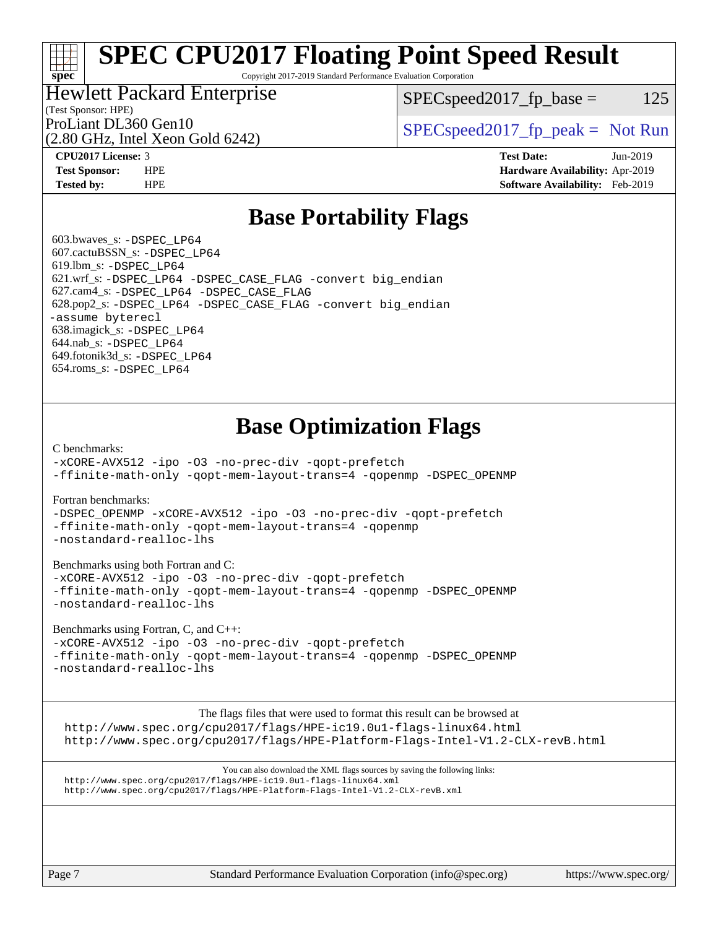# **[SPEC CPU2017 Floating Point Speed Result](http://www.spec.org/auto/cpu2017/Docs/result-fields.html#SPECCPU2017FloatingPointSpeedResult)**

Copyright 2017-2019 Standard Performance Evaluation Corporation

## Hewlett Packard Enterprise

 $SPEC speed2017_fp\_base = 125$ 

## (Test Sponsor: HPE)

(2.80 GHz, Intel Xeon Gold 6242)

ProLiant DL360 Gen10  $SPEC speed2017$  [p\_peak = Not Run

**[spec](http://www.spec.org/)**

**[CPU2017 License:](http://www.spec.org/auto/cpu2017/Docs/result-fields.html#CPU2017License)** 3 **[Test Date:](http://www.spec.org/auto/cpu2017/Docs/result-fields.html#TestDate)** Jun-2019 **[Test Sponsor:](http://www.spec.org/auto/cpu2017/Docs/result-fields.html#TestSponsor)** HPE **[Hardware Availability:](http://www.spec.org/auto/cpu2017/Docs/result-fields.html#HardwareAvailability)** Apr-2019 **[Tested by:](http://www.spec.org/auto/cpu2017/Docs/result-fields.html#Testedby)** HPE **[Software Availability:](http://www.spec.org/auto/cpu2017/Docs/result-fields.html#SoftwareAvailability)** Feb-2019

## **[Base Portability Flags](http://www.spec.org/auto/cpu2017/Docs/result-fields.html#BasePortabilityFlags)**

 603.bwaves\_s: [-DSPEC\\_LP64](http://www.spec.org/cpu2017/results/res2019q3/cpu2017-20190709-16053.flags.html#suite_basePORTABILITY603_bwaves_s_DSPEC_LP64) 607.cactuBSSN\_s: [-DSPEC\\_LP64](http://www.spec.org/cpu2017/results/res2019q3/cpu2017-20190709-16053.flags.html#suite_basePORTABILITY607_cactuBSSN_s_DSPEC_LP64) 619.lbm\_s: [-DSPEC\\_LP64](http://www.spec.org/cpu2017/results/res2019q3/cpu2017-20190709-16053.flags.html#suite_basePORTABILITY619_lbm_s_DSPEC_LP64) 621.wrf\_s: [-DSPEC\\_LP64](http://www.spec.org/cpu2017/results/res2019q3/cpu2017-20190709-16053.flags.html#suite_basePORTABILITY621_wrf_s_DSPEC_LP64) [-DSPEC\\_CASE\\_FLAG](http://www.spec.org/cpu2017/results/res2019q3/cpu2017-20190709-16053.flags.html#b621.wrf_s_baseCPORTABILITY_DSPEC_CASE_FLAG) [-convert big\\_endian](http://www.spec.org/cpu2017/results/res2019q3/cpu2017-20190709-16053.flags.html#user_baseFPORTABILITY621_wrf_s_convert_big_endian_c3194028bc08c63ac5d04de18c48ce6d347e4e562e8892b8bdbdc0214820426deb8554edfa529a3fb25a586e65a3d812c835984020483e7e73212c4d31a38223) 627.cam4\_s: [-DSPEC\\_LP64](http://www.spec.org/cpu2017/results/res2019q3/cpu2017-20190709-16053.flags.html#suite_basePORTABILITY627_cam4_s_DSPEC_LP64) [-DSPEC\\_CASE\\_FLAG](http://www.spec.org/cpu2017/results/res2019q3/cpu2017-20190709-16053.flags.html#b627.cam4_s_baseCPORTABILITY_DSPEC_CASE_FLAG) 628.pop2\_s: [-DSPEC\\_LP64](http://www.spec.org/cpu2017/results/res2019q3/cpu2017-20190709-16053.flags.html#suite_basePORTABILITY628_pop2_s_DSPEC_LP64) [-DSPEC\\_CASE\\_FLAG](http://www.spec.org/cpu2017/results/res2019q3/cpu2017-20190709-16053.flags.html#b628.pop2_s_baseCPORTABILITY_DSPEC_CASE_FLAG) [-convert big\\_endian](http://www.spec.org/cpu2017/results/res2019q3/cpu2017-20190709-16053.flags.html#user_baseFPORTABILITY628_pop2_s_convert_big_endian_c3194028bc08c63ac5d04de18c48ce6d347e4e562e8892b8bdbdc0214820426deb8554edfa529a3fb25a586e65a3d812c835984020483e7e73212c4d31a38223) [-assume byterecl](http://www.spec.org/cpu2017/results/res2019q3/cpu2017-20190709-16053.flags.html#user_baseFPORTABILITY628_pop2_s_assume_byterecl_7e47d18b9513cf18525430bbf0f2177aa9bf368bc7a059c09b2c06a34b53bd3447c950d3f8d6c70e3faf3a05c8557d66a5798b567902e8849adc142926523472) 638.imagick\_s: [-DSPEC\\_LP64](http://www.spec.org/cpu2017/results/res2019q3/cpu2017-20190709-16053.flags.html#suite_basePORTABILITY638_imagick_s_DSPEC_LP64) 644.nab\_s: [-DSPEC\\_LP64](http://www.spec.org/cpu2017/results/res2019q3/cpu2017-20190709-16053.flags.html#suite_basePORTABILITY644_nab_s_DSPEC_LP64) 649.fotonik3d\_s: [-DSPEC\\_LP64](http://www.spec.org/cpu2017/results/res2019q3/cpu2017-20190709-16053.flags.html#suite_basePORTABILITY649_fotonik3d_s_DSPEC_LP64) 654.roms\_s: [-DSPEC\\_LP64](http://www.spec.org/cpu2017/results/res2019q3/cpu2017-20190709-16053.flags.html#suite_basePORTABILITY654_roms_s_DSPEC_LP64)

## **[Base Optimization Flags](http://www.spec.org/auto/cpu2017/Docs/result-fields.html#BaseOptimizationFlags)**

#### [C benchmarks](http://www.spec.org/auto/cpu2017/Docs/result-fields.html#Cbenchmarks):

[-xCORE-AVX512](http://www.spec.org/cpu2017/results/res2019q3/cpu2017-20190709-16053.flags.html#user_CCbase_f-xCORE-AVX512) [-ipo](http://www.spec.org/cpu2017/results/res2019q3/cpu2017-20190709-16053.flags.html#user_CCbase_f-ipo) [-O3](http://www.spec.org/cpu2017/results/res2019q3/cpu2017-20190709-16053.flags.html#user_CCbase_f-O3) [-no-prec-div](http://www.spec.org/cpu2017/results/res2019q3/cpu2017-20190709-16053.flags.html#user_CCbase_f-no-prec-div) [-qopt-prefetch](http://www.spec.org/cpu2017/results/res2019q3/cpu2017-20190709-16053.flags.html#user_CCbase_f-qopt-prefetch) [-ffinite-math-only](http://www.spec.org/cpu2017/results/res2019q3/cpu2017-20190709-16053.flags.html#user_CCbase_f_finite_math_only_cb91587bd2077682c4b38af759c288ed7c732db004271a9512da14a4f8007909a5f1427ecbf1a0fb78ff2a814402c6114ac565ca162485bbcae155b5e4258871) [-qopt-mem-layout-trans=4](http://www.spec.org/cpu2017/results/res2019q3/cpu2017-20190709-16053.flags.html#user_CCbase_f-qopt-mem-layout-trans_fa39e755916c150a61361b7846f310bcdf6f04e385ef281cadf3647acec3f0ae266d1a1d22d972a7087a248fd4e6ca390a3634700869573d231a252c784941a8) [-qopenmp](http://www.spec.org/cpu2017/results/res2019q3/cpu2017-20190709-16053.flags.html#user_CCbase_qopenmp_16be0c44f24f464004c6784a7acb94aca937f053568ce72f94b139a11c7c168634a55f6653758ddd83bcf7b8463e8028bb0b48b77bcddc6b78d5d95bb1df2967) [-DSPEC\\_OPENMP](http://www.spec.org/cpu2017/results/res2019q3/cpu2017-20190709-16053.flags.html#suite_CCbase_DSPEC_OPENMP)

#### [Fortran benchmarks](http://www.spec.org/auto/cpu2017/Docs/result-fields.html#Fortranbenchmarks):

[-DSPEC\\_OPENMP](http://www.spec.org/cpu2017/results/res2019q3/cpu2017-20190709-16053.flags.html#suite_FCbase_DSPEC_OPENMP) [-xCORE-AVX512](http://www.spec.org/cpu2017/results/res2019q3/cpu2017-20190709-16053.flags.html#user_FCbase_f-xCORE-AVX512) [-ipo](http://www.spec.org/cpu2017/results/res2019q3/cpu2017-20190709-16053.flags.html#user_FCbase_f-ipo) [-O3](http://www.spec.org/cpu2017/results/res2019q3/cpu2017-20190709-16053.flags.html#user_FCbase_f-O3) [-no-prec-div](http://www.spec.org/cpu2017/results/res2019q3/cpu2017-20190709-16053.flags.html#user_FCbase_f-no-prec-div) [-qopt-prefetch](http://www.spec.org/cpu2017/results/res2019q3/cpu2017-20190709-16053.flags.html#user_FCbase_f-qopt-prefetch) [-ffinite-math-only](http://www.spec.org/cpu2017/results/res2019q3/cpu2017-20190709-16053.flags.html#user_FCbase_f_finite_math_only_cb91587bd2077682c4b38af759c288ed7c732db004271a9512da14a4f8007909a5f1427ecbf1a0fb78ff2a814402c6114ac565ca162485bbcae155b5e4258871) [-qopt-mem-layout-trans=4](http://www.spec.org/cpu2017/results/res2019q3/cpu2017-20190709-16053.flags.html#user_FCbase_f-qopt-mem-layout-trans_fa39e755916c150a61361b7846f310bcdf6f04e385ef281cadf3647acec3f0ae266d1a1d22d972a7087a248fd4e6ca390a3634700869573d231a252c784941a8) [-qopenmp](http://www.spec.org/cpu2017/results/res2019q3/cpu2017-20190709-16053.flags.html#user_FCbase_qopenmp_16be0c44f24f464004c6784a7acb94aca937f053568ce72f94b139a11c7c168634a55f6653758ddd83bcf7b8463e8028bb0b48b77bcddc6b78d5d95bb1df2967) [-nostandard-realloc-lhs](http://www.spec.org/cpu2017/results/res2019q3/cpu2017-20190709-16053.flags.html#user_FCbase_f_2003_std_realloc_82b4557e90729c0f113870c07e44d33d6f5a304b4f63d4c15d2d0f1fab99f5daaed73bdb9275d9ae411527f28b936061aa8b9c8f2d63842963b95c9dd6426b8a)

#### [Benchmarks using both Fortran and C](http://www.spec.org/auto/cpu2017/Docs/result-fields.html#BenchmarksusingbothFortranandC):

[-xCORE-AVX512](http://www.spec.org/cpu2017/results/res2019q3/cpu2017-20190709-16053.flags.html#user_CC_FCbase_f-xCORE-AVX512) [-ipo](http://www.spec.org/cpu2017/results/res2019q3/cpu2017-20190709-16053.flags.html#user_CC_FCbase_f-ipo) [-O3](http://www.spec.org/cpu2017/results/res2019q3/cpu2017-20190709-16053.flags.html#user_CC_FCbase_f-O3) [-no-prec-div](http://www.spec.org/cpu2017/results/res2019q3/cpu2017-20190709-16053.flags.html#user_CC_FCbase_f-no-prec-div) [-qopt-prefetch](http://www.spec.org/cpu2017/results/res2019q3/cpu2017-20190709-16053.flags.html#user_CC_FCbase_f-qopt-prefetch) [-ffinite-math-only](http://www.spec.org/cpu2017/results/res2019q3/cpu2017-20190709-16053.flags.html#user_CC_FCbase_f_finite_math_only_cb91587bd2077682c4b38af759c288ed7c732db004271a9512da14a4f8007909a5f1427ecbf1a0fb78ff2a814402c6114ac565ca162485bbcae155b5e4258871) [-qopt-mem-layout-trans=4](http://www.spec.org/cpu2017/results/res2019q3/cpu2017-20190709-16053.flags.html#user_CC_FCbase_f-qopt-mem-layout-trans_fa39e755916c150a61361b7846f310bcdf6f04e385ef281cadf3647acec3f0ae266d1a1d22d972a7087a248fd4e6ca390a3634700869573d231a252c784941a8) [-qopenmp](http://www.spec.org/cpu2017/results/res2019q3/cpu2017-20190709-16053.flags.html#user_CC_FCbase_qopenmp_16be0c44f24f464004c6784a7acb94aca937f053568ce72f94b139a11c7c168634a55f6653758ddd83bcf7b8463e8028bb0b48b77bcddc6b78d5d95bb1df2967) [-DSPEC\\_OPENMP](http://www.spec.org/cpu2017/results/res2019q3/cpu2017-20190709-16053.flags.html#suite_CC_FCbase_DSPEC_OPENMP) [-nostandard-realloc-lhs](http://www.spec.org/cpu2017/results/res2019q3/cpu2017-20190709-16053.flags.html#user_CC_FCbase_f_2003_std_realloc_82b4557e90729c0f113870c07e44d33d6f5a304b4f63d4c15d2d0f1fab99f5daaed73bdb9275d9ae411527f28b936061aa8b9c8f2d63842963b95c9dd6426b8a)

#### [Benchmarks using Fortran, C, and C++:](http://www.spec.org/auto/cpu2017/Docs/result-fields.html#BenchmarksusingFortranCandCXX)

[-xCORE-AVX512](http://www.spec.org/cpu2017/results/res2019q3/cpu2017-20190709-16053.flags.html#user_CC_CXX_FCbase_f-xCORE-AVX512) [-ipo](http://www.spec.org/cpu2017/results/res2019q3/cpu2017-20190709-16053.flags.html#user_CC_CXX_FCbase_f-ipo) [-O3](http://www.spec.org/cpu2017/results/res2019q3/cpu2017-20190709-16053.flags.html#user_CC_CXX_FCbase_f-O3) [-no-prec-div](http://www.spec.org/cpu2017/results/res2019q3/cpu2017-20190709-16053.flags.html#user_CC_CXX_FCbase_f-no-prec-div) [-qopt-prefetch](http://www.spec.org/cpu2017/results/res2019q3/cpu2017-20190709-16053.flags.html#user_CC_CXX_FCbase_f-qopt-prefetch) [-ffinite-math-only](http://www.spec.org/cpu2017/results/res2019q3/cpu2017-20190709-16053.flags.html#user_CC_CXX_FCbase_f_finite_math_only_cb91587bd2077682c4b38af759c288ed7c732db004271a9512da14a4f8007909a5f1427ecbf1a0fb78ff2a814402c6114ac565ca162485bbcae155b5e4258871) [-qopt-mem-layout-trans=4](http://www.spec.org/cpu2017/results/res2019q3/cpu2017-20190709-16053.flags.html#user_CC_CXX_FCbase_f-qopt-mem-layout-trans_fa39e755916c150a61361b7846f310bcdf6f04e385ef281cadf3647acec3f0ae266d1a1d22d972a7087a248fd4e6ca390a3634700869573d231a252c784941a8) [-qopenmp](http://www.spec.org/cpu2017/results/res2019q3/cpu2017-20190709-16053.flags.html#user_CC_CXX_FCbase_qopenmp_16be0c44f24f464004c6784a7acb94aca937f053568ce72f94b139a11c7c168634a55f6653758ddd83bcf7b8463e8028bb0b48b77bcddc6b78d5d95bb1df2967) [-DSPEC\\_OPENMP](http://www.spec.org/cpu2017/results/res2019q3/cpu2017-20190709-16053.flags.html#suite_CC_CXX_FCbase_DSPEC_OPENMP) [-nostandard-realloc-lhs](http://www.spec.org/cpu2017/results/res2019q3/cpu2017-20190709-16053.flags.html#user_CC_CXX_FCbase_f_2003_std_realloc_82b4557e90729c0f113870c07e44d33d6f5a304b4f63d4c15d2d0f1fab99f5daaed73bdb9275d9ae411527f28b936061aa8b9c8f2d63842963b95c9dd6426b8a)

The flags files that were used to format this result can be browsed at

<http://www.spec.org/cpu2017/flags/HPE-ic19.0u1-flags-linux64.html> <http://www.spec.org/cpu2017/flags/HPE-Platform-Flags-Intel-V1.2-CLX-revB.html>

You can also download the XML flags sources by saving the following links: <http://www.spec.org/cpu2017/flags/HPE-ic19.0u1-flags-linux64.xml> <http://www.spec.org/cpu2017/flags/HPE-Platform-Flags-Intel-V1.2-CLX-revB.xml>